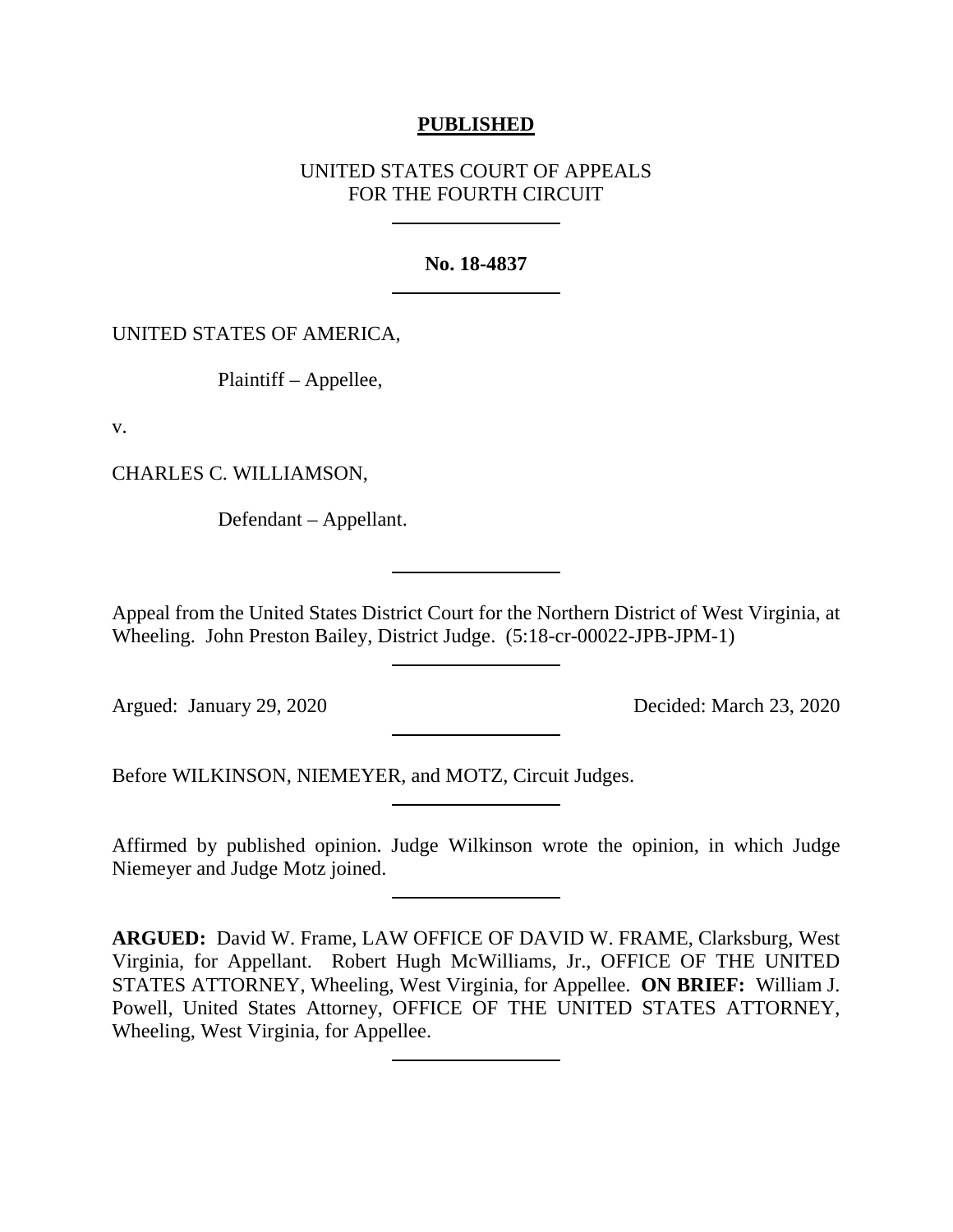### **PUBLISHED**

# UNITED STATES COURT OF APPEALS FOR THE FOURTH CIRCUIT

#### **No. 18-4837**

### UNITED STATES OF AMERICA,

Plaintiff – Appellee,

v.

CHARLES C. WILLIAMSON,

Defendant – Appellant.

Appeal from the United States District Court for the Northern District of West Virginia, at Wheeling. John Preston Bailey, District Judge. (5:18-cr-00022-JPB-JPM-1)

Argued: January 29, 2020 Decided: March 23, 2020

Before WILKINSON, NIEMEYER, and MOTZ, Circuit Judges.

Affirmed by published opinion. Judge Wilkinson wrote the opinion, in which Judge Niemeyer and Judge Motz joined.

**ARGUED:** David W. Frame, LAW OFFICE OF DAVID W. FRAME, Clarksburg, West Virginia, for Appellant. Robert Hugh McWilliams, Jr., OFFICE OF THE UNITED STATES ATTORNEY, Wheeling, West Virginia, for Appellee. **ON BRIEF:** William J. Powell, United States Attorney, OFFICE OF THE UNITED STATES ATTORNEY, Wheeling, West Virginia, for Appellee.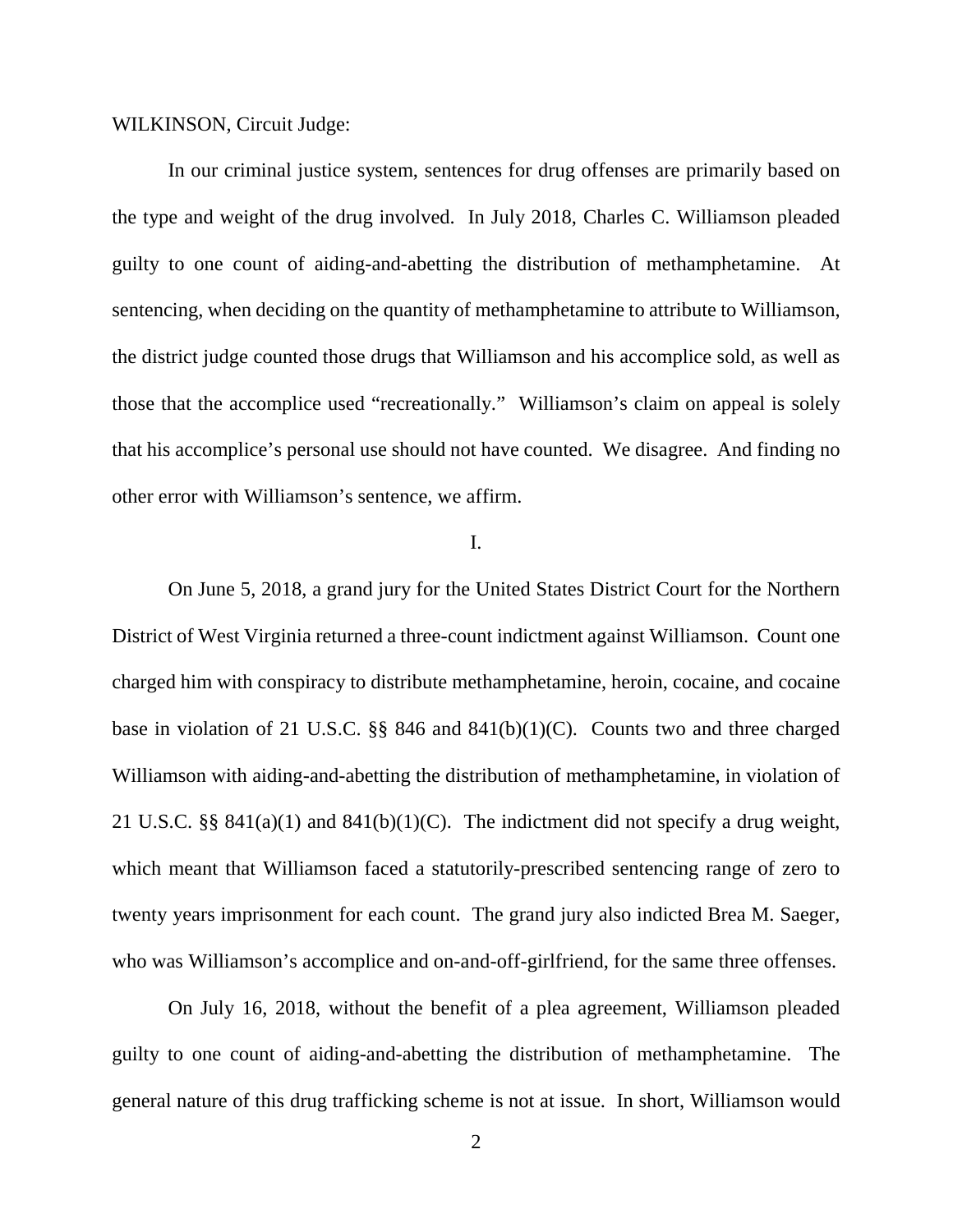WILKINSON, Circuit Judge:

In our criminal justice system, sentences for drug offenses are primarily based on the type and weight of the drug involved. In July 2018, Charles C. Williamson pleaded guilty to one count of aiding-and-abetting the distribution of methamphetamine. At sentencing, when deciding on the quantity of methamphetamine to attribute to Williamson, the district judge counted those drugs that Williamson and his accomplice sold, as well as those that the accomplice used "recreationally." Williamson's claim on appeal is solely that his accomplice's personal use should not have counted. We disagree. And finding no other error with Williamson's sentence, we affirm.

### I.

On June 5, 2018, a grand jury for the United States District Court for the Northern District of West Virginia returned a three-count indictment against Williamson. Count one charged him with conspiracy to distribute methamphetamine, heroin, cocaine, and cocaine base in violation of 21 U.S.C. §§ 846 and 841(b)(1)(C). Counts two and three charged Williamson with aiding-and-abetting the distribution of methamphetamine, in violation of 21 U.S.C. §§ 841(a)(1) and 841(b)(1)(C). The indictment did not specify a drug weight, which meant that Williamson faced a statutorily-prescribed sentencing range of zero to twenty years imprisonment for each count. The grand jury also indicted Brea M. Saeger, who was Williamson's accomplice and on-and-off-girlfriend, for the same three offenses.

On July 16, 2018, without the benefit of a plea agreement, Williamson pleaded guilty to one count of aiding-and-abetting the distribution of methamphetamine. The general nature of this drug trafficking scheme is not at issue. In short, Williamson would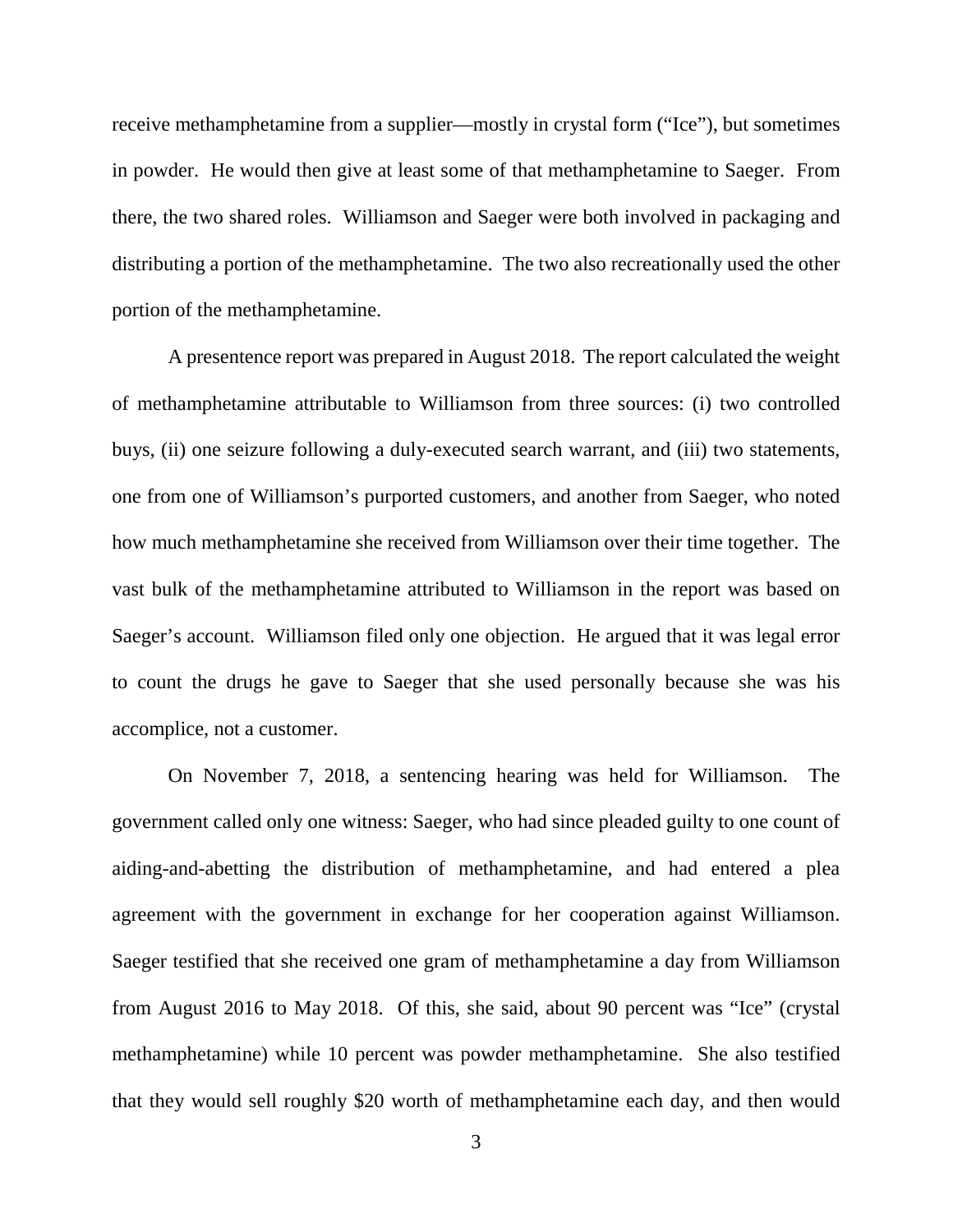receive methamphetamine from a supplier—mostly in crystal form ("Ice"), but sometimes in powder. He would then give at least some of that methamphetamine to Saeger. From there, the two shared roles. Williamson and Saeger were both involved in packaging and distributing a portion of the methamphetamine. The two also recreationally used the other portion of the methamphetamine.

A presentence report was prepared in August 2018. The report calculated the weight of methamphetamine attributable to Williamson from three sources: (i) two controlled buys, (ii) one seizure following a duly-executed search warrant, and (iii) two statements, one from one of Williamson's purported customers, and another from Saeger, who noted how much methamphetamine she received from Williamson over their time together. The vast bulk of the methamphetamine attributed to Williamson in the report was based on Saeger's account. Williamson filed only one objection. He argued that it was legal error to count the drugs he gave to Saeger that she used personally because she was his accomplice, not a customer.

On November 7, 2018, a sentencing hearing was held for Williamson. The government called only one witness: Saeger, who had since pleaded guilty to one count of aiding-and-abetting the distribution of methamphetamine, and had entered a plea agreement with the government in exchange for her cooperation against Williamson. Saeger testified that she received one gram of methamphetamine a day from Williamson from August 2016 to May 2018. Of this, she said, about 90 percent was "Ice" (crystal methamphetamine) while 10 percent was powder methamphetamine. She also testified that they would sell roughly \$20 worth of methamphetamine each day, and then would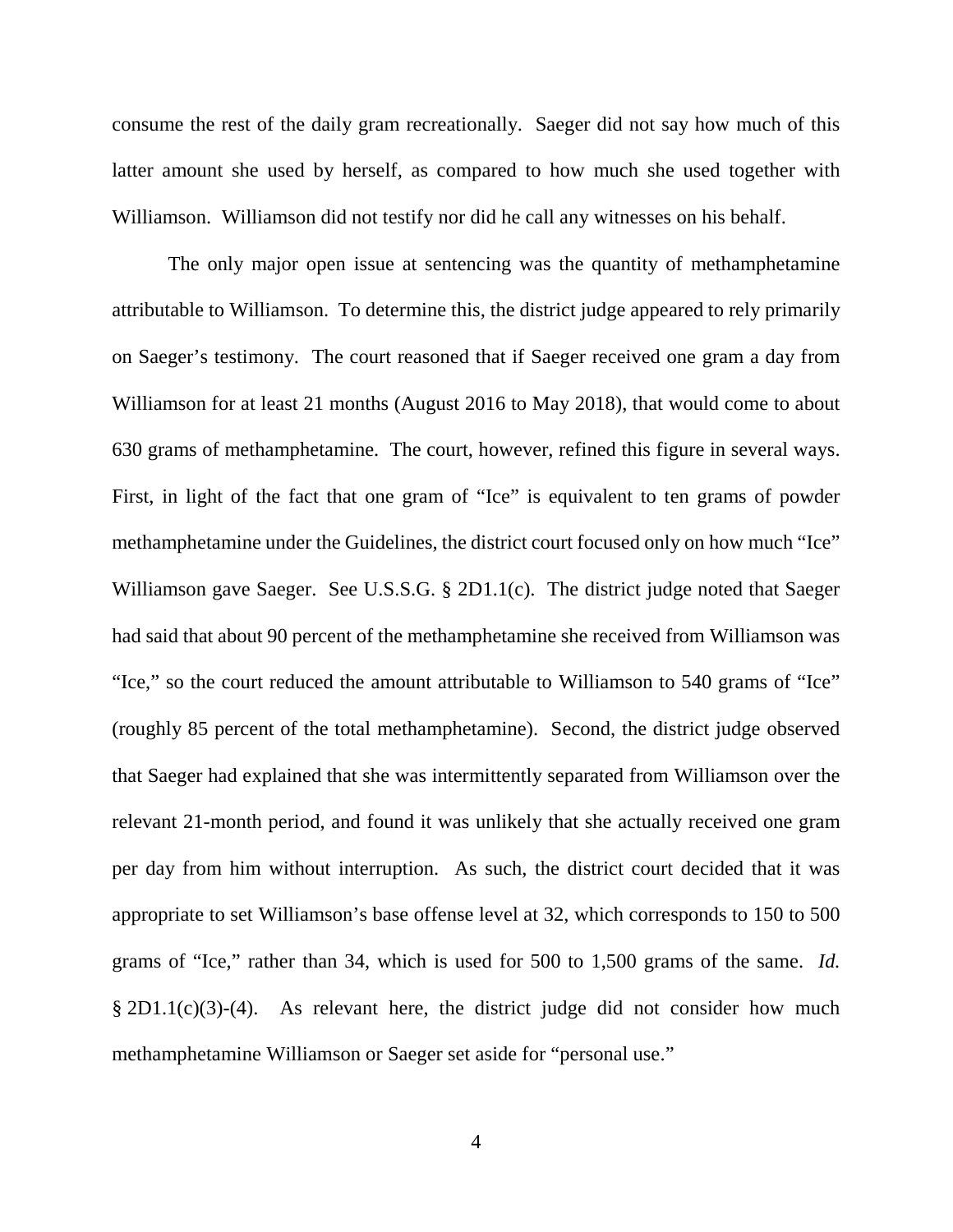consume the rest of the daily gram recreationally. Saeger did not say how much of this latter amount she used by herself, as compared to how much she used together with Williamson. Williamson did not testify nor did he call any witnesses on his behalf.

The only major open issue at sentencing was the quantity of methamphetamine attributable to Williamson. To determine this, the district judge appeared to rely primarily on Saeger's testimony. The court reasoned that if Saeger received one gram a day from Williamson for at least 21 months (August 2016 to May 2018), that would come to about 630 grams of methamphetamine. The court, however, refined this figure in several ways. First, in light of the fact that one gram of "Ice" is equivalent to ten grams of powder methamphetamine under the Guidelines, the district court focused only on how much "Ice" Williamson gave Saeger. See U.S.S.G. § 2D1.1(c). The district judge noted that Saeger had said that about 90 percent of the methamphetamine she received from Williamson was "Ice," so the court reduced the amount attributable to Williamson to 540 grams of "Ice" (roughly 85 percent of the total methamphetamine). Second, the district judge observed that Saeger had explained that she was intermittently separated from Williamson over the relevant 21-month period, and found it was unlikely that she actually received one gram per day from him without interruption. As such, the district court decided that it was appropriate to set Williamson's base offense level at 32, which corresponds to 150 to 500 grams of "Ice," rather than 34, which is used for 500 to 1,500 grams of the same. *Id.* § 2D1.1(c)(3)-(4). As relevant here, the district judge did not consider how much methamphetamine Williamson or Saeger set aside for "personal use."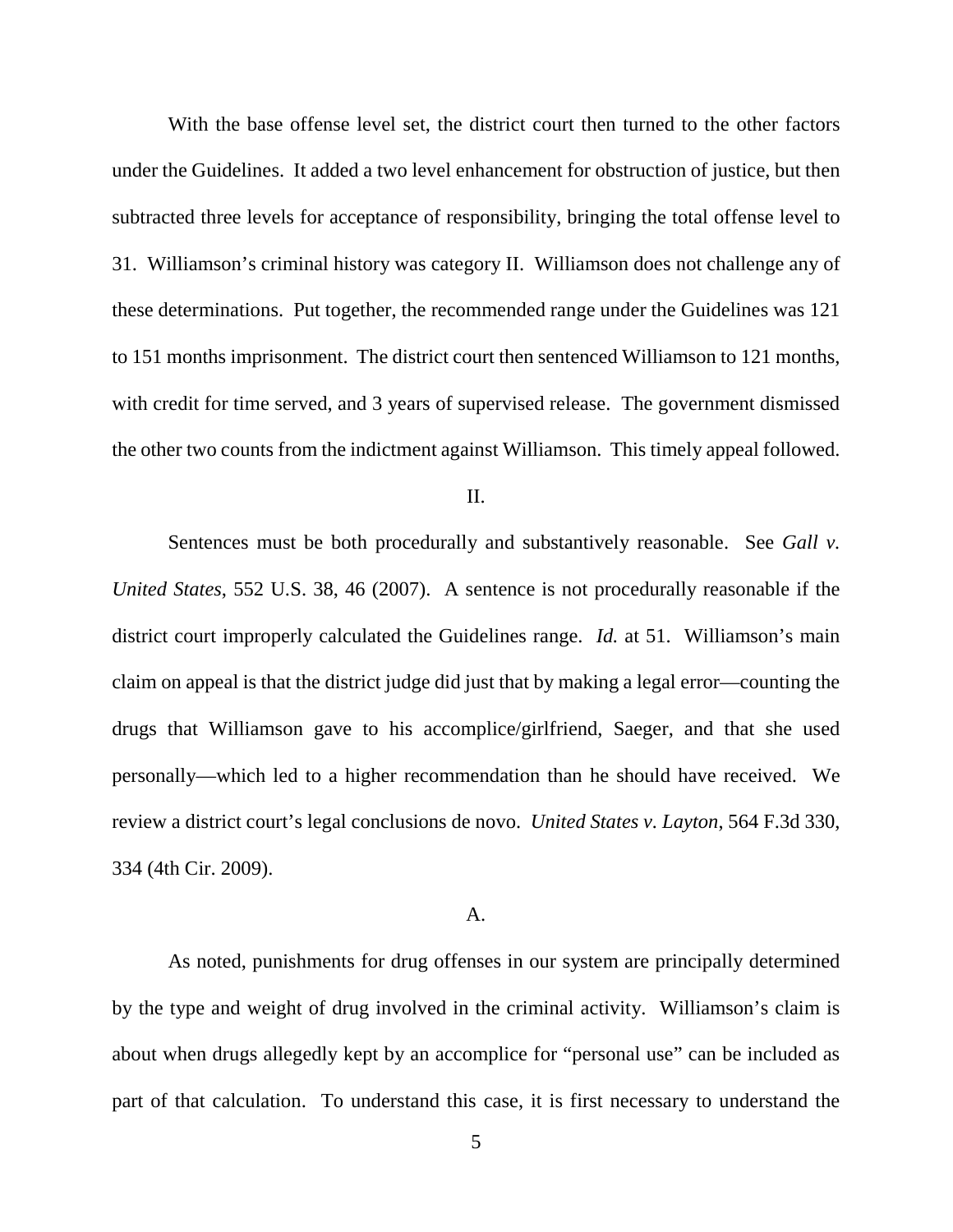With the base offense level set, the district court then turned to the other factors under the Guidelines. It added a two level enhancement for obstruction of justice, but then subtracted three levels for acceptance of responsibility, bringing the total offense level to 31. Williamson's criminal history was category II. Williamson does not challenge any of these determinations. Put together, the recommended range under the Guidelines was 121 to 151 months imprisonment. The district court then sentenced Williamson to 121 months, with credit for time served, and 3 years of supervised release. The government dismissed the other two counts from the indictment against Williamson. This timely appeal followed.

II.

Sentences must be both procedurally and substantively reasonable. See *Gall v. United States*, 552 U.S. 38, 46 (2007). A sentence is not procedurally reasonable if the district court improperly calculated the Guidelines range. *Id.* at 51. Williamson's main claim on appeal is that the district judge did just that by making a legal error—counting the drugs that Williamson gave to his accomplice/girlfriend, Saeger, and that she used personally—which led to a higher recommendation than he should have received. We review a district court's legal conclusions de novo. *United States v. Layton*, 564 F.3d 330, 334 (4th Cir. 2009).

## A.

As noted, punishments for drug offenses in our system are principally determined by the type and weight of drug involved in the criminal activity. Williamson's claim is about when drugs allegedly kept by an accomplice for "personal use" can be included as part of that calculation. To understand this case, it is first necessary to understand the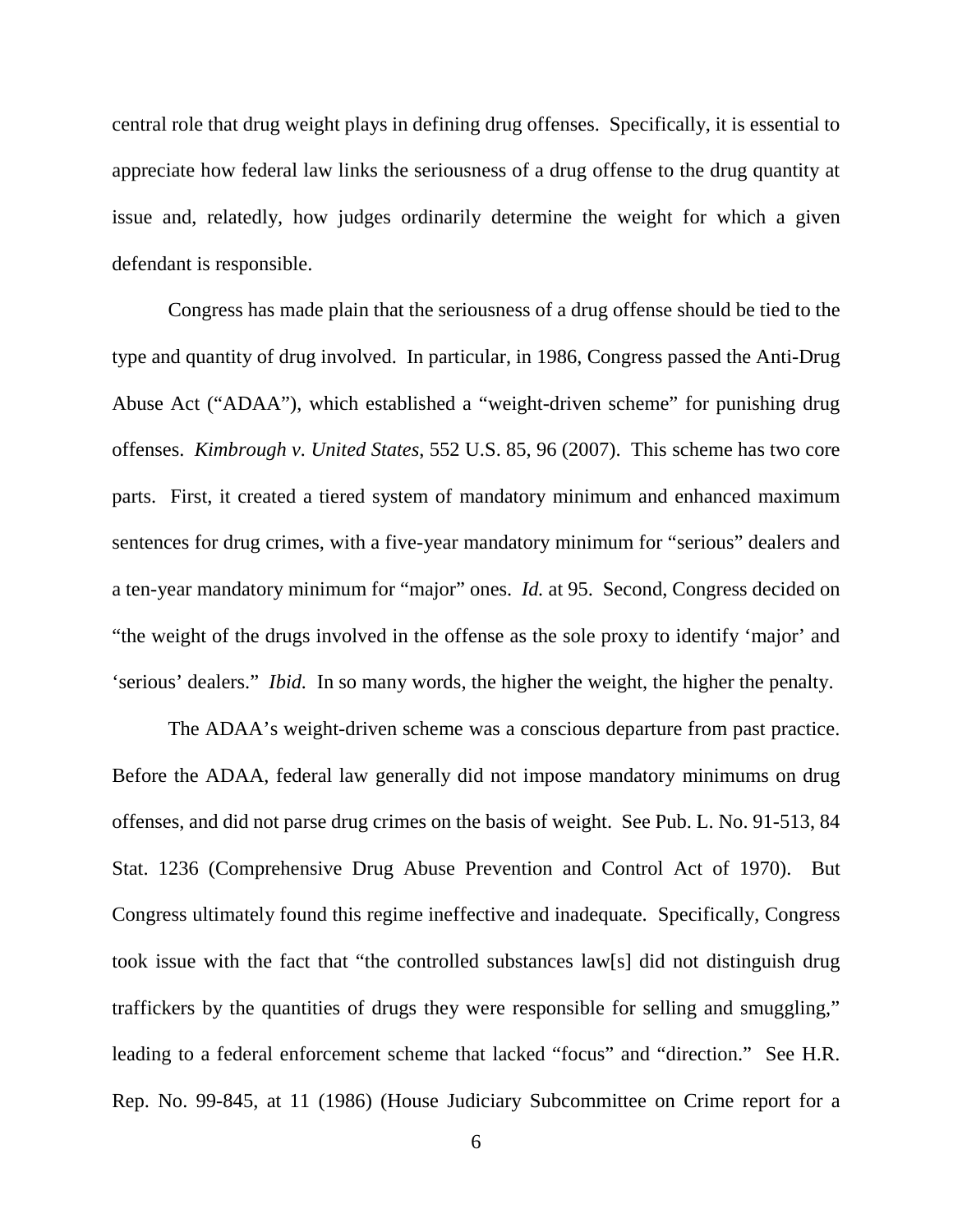central role that drug weight plays in defining drug offenses. Specifically, it is essential to appreciate how federal law links the seriousness of a drug offense to the drug quantity at issue and, relatedly, how judges ordinarily determine the weight for which a given defendant is responsible.

Congress has made plain that the seriousness of a drug offense should be tied to the type and quantity of drug involved. In particular, in 1986, Congress passed the Anti-Drug Abuse Act ("ADAA"), which established a "weight-driven scheme" for punishing drug offenses. *Kimbrough v. United States*, 552 U.S. 85, 96 (2007). This scheme has two core parts. First, it created a tiered system of mandatory minimum and enhanced maximum sentences for drug crimes, with a five-year mandatory minimum for "serious" dealers and a ten-year mandatory minimum for "major" ones. *Id.* at 95. Second, Congress decided on "the weight of the drugs involved in the offense as the sole proxy to identify 'major' and 'serious' dealers." *Ibid.* In so many words, the higher the weight, the higher the penalty.

The ADAA's weight-driven scheme was a conscious departure from past practice. Before the ADAA, federal law generally did not impose mandatory minimums on drug offenses, and did not parse drug crimes on the basis of weight. See Pub. L. No. 91-513, 84 Stat. 1236 (Comprehensive Drug Abuse Prevention and Control Act of 1970). But Congress ultimately found this regime ineffective and inadequate. Specifically, Congress took issue with the fact that "the controlled substances law[s] did not distinguish drug traffickers by the quantities of drugs they were responsible for selling and smuggling," leading to a federal enforcement scheme that lacked "focus" and "direction." See H.R. Rep. No. 99-845, at 11 (1986) (House Judiciary Subcommittee on Crime report for a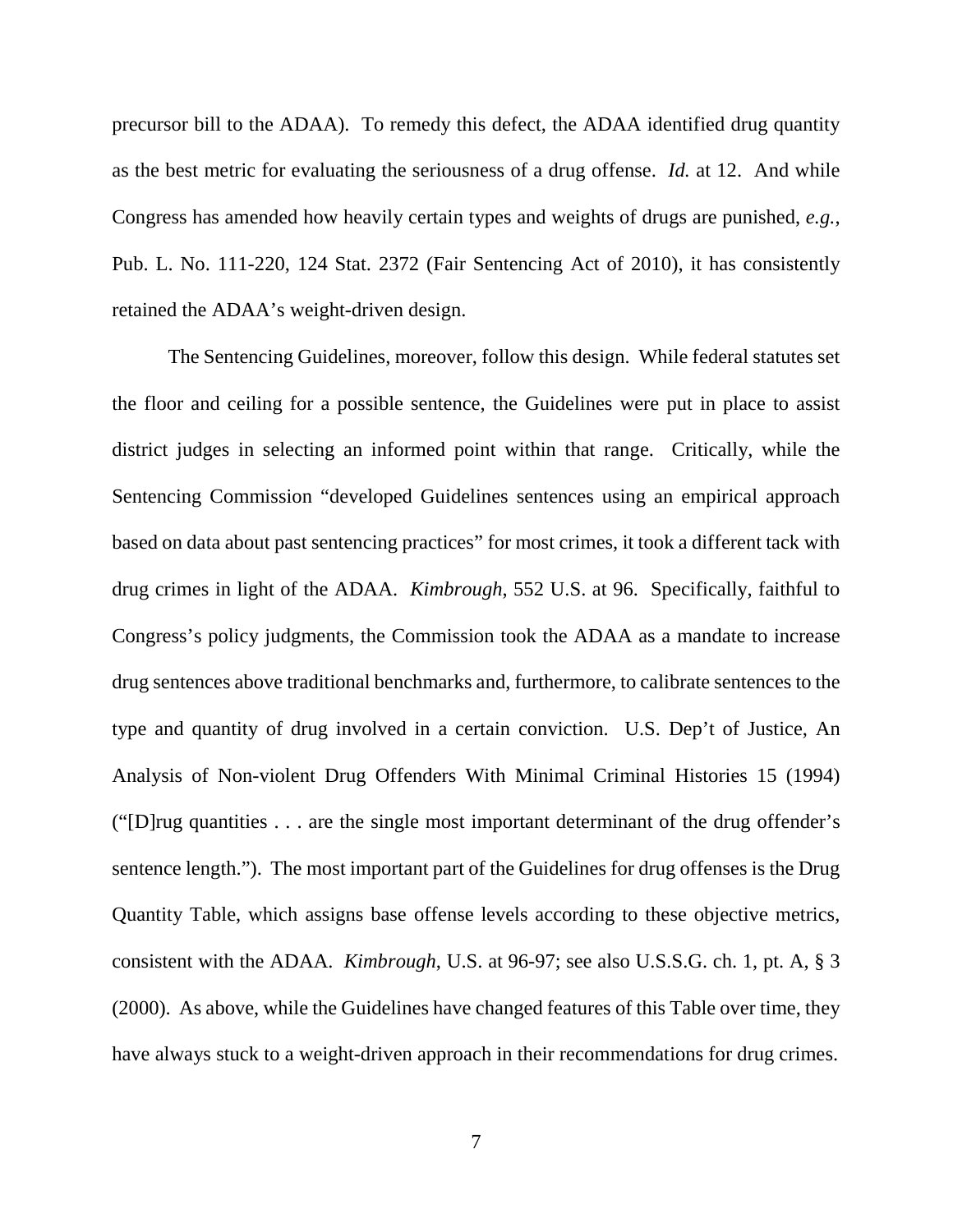precursor bill to the ADAA). To remedy this defect, the ADAA identified drug quantity as the best metric for evaluating the seriousness of a drug offense. *Id.* at 12. And while Congress has amended how heavily certain types and weights of drugs are punished, *e.g.*, Pub. L. No. 111-220, 124 Stat. 2372 (Fair Sentencing Act of 2010), it has consistently retained the ADAA's weight-driven design.

The Sentencing Guidelines, moreover, follow this design. While federal statutes set the floor and ceiling for a possible sentence, the Guidelines were put in place to assist district judges in selecting an informed point within that range. Critically, while the Sentencing Commission "developed Guidelines sentences using an empirical approach based on data about past sentencing practices" for most crimes, it took a different tack with drug crimes in light of the ADAA. *Kimbrough*, 552 U.S. at 96. Specifically, faithful to Congress's policy judgments, the Commission took the ADAA as a mandate to increase drug sentences above traditional benchmarks and, furthermore, to calibrate sentences to the type and quantity of drug involved in a certain conviction. U.S. Dep't of Justice, An Analysis of Non-violent Drug Offenders With Minimal Criminal Histories 15 (1994) ("[D]rug quantities . . . are the single most important determinant of the drug offender's sentence length."). The most important part of the Guidelines for drug offenses is the Drug Quantity Table, which assigns base offense levels according to these objective metrics, consistent with the ADAA. *Kimbrough*, U.S. at 96-97; see also U.S.S.G. ch. 1, pt. A, § 3 (2000). As above, while the Guidelines have changed features of this Table over time, they have always stuck to a weight-driven approach in their recommendations for drug crimes.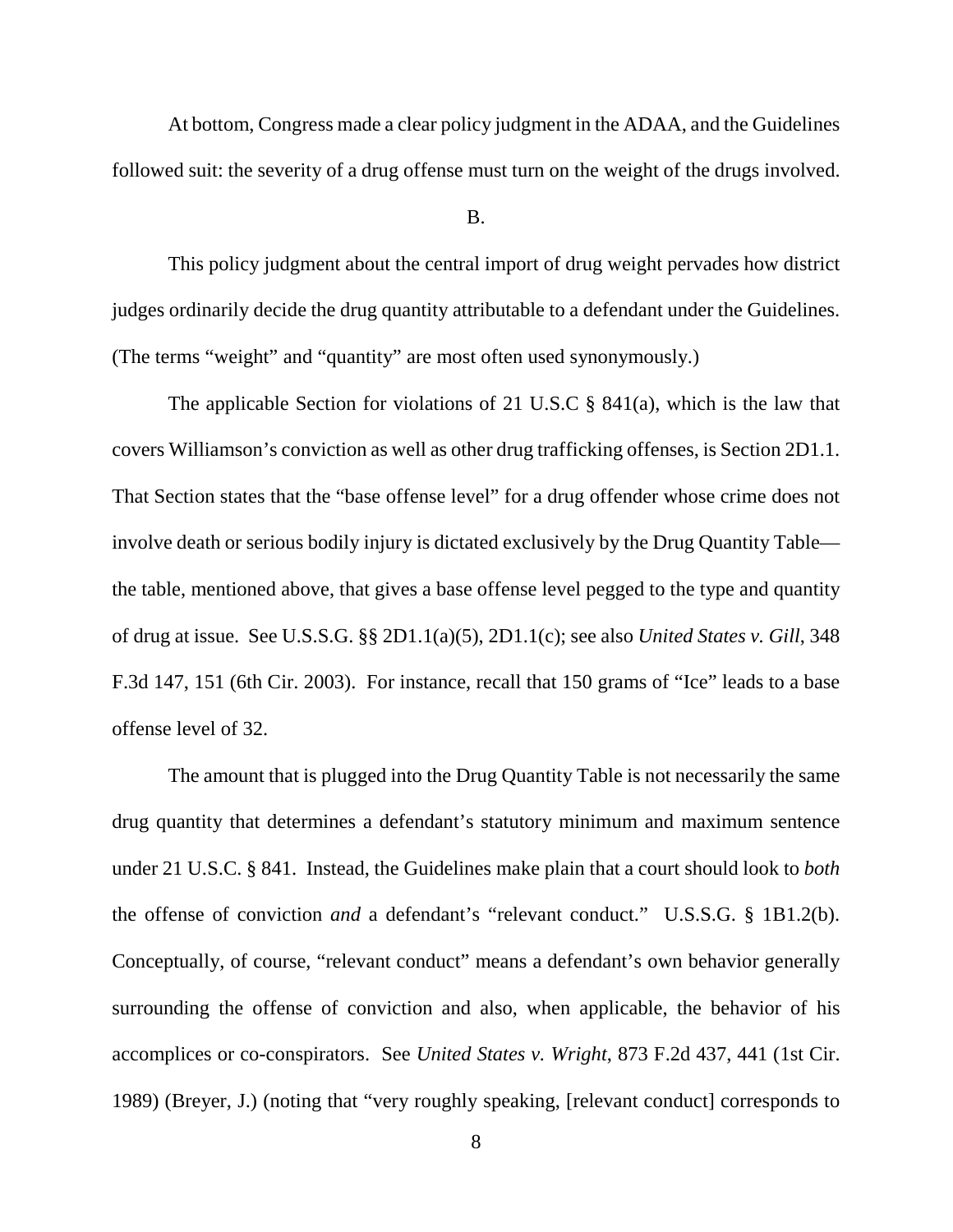At bottom, Congress made a clear policy judgment in the ADAA, and the Guidelines followed suit: the severity of a drug offense must turn on the weight of the drugs involved.

B.

This policy judgment about the central import of drug weight pervades how district judges ordinarily decide the drug quantity attributable to a defendant under the Guidelines. (The terms "weight" and "quantity" are most often used synonymously.)

The applicable Section for violations of 21 U.S.C  $\S$  841(a), which is the law that covers Williamson's conviction as well as other drug trafficking offenses, is Section 2D1.1. That Section states that the "base offense level" for a drug offender whose crime does not involve death or serious bodily injury is dictated exclusively by the Drug Quantity Table the table, mentioned above, that gives a base offense level pegged to the type and quantity of drug at issue. See U.S.S.G. §§ 2D1.1(a)(5), 2D1.1(c); see also *United States v. Gill*, 348 F.3d 147, 151 (6th Cir. 2003). For instance, recall that 150 grams of "Ice" leads to a base offense level of 32.

The amount that is plugged into the Drug Quantity Table is not necessarily the same drug quantity that determines a defendant's statutory minimum and maximum sentence under 21 U.S.C. § 841. Instead, the Guidelines make plain that a court should look to *both* the offense of conviction *and* a defendant's "relevant conduct." U.S.S.G. § 1B1.2(b). Conceptually, of course, "relevant conduct" means a defendant's own behavior generally surrounding the offense of conviction and also, when applicable, the behavior of his accomplices or co-conspirators. See *United States v. Wright*, 873 F.2d 437, 441 (1st Cir. 1989) (Breyer, J.) (noting that "very roughly speaking, [relevant conduct] corresponds to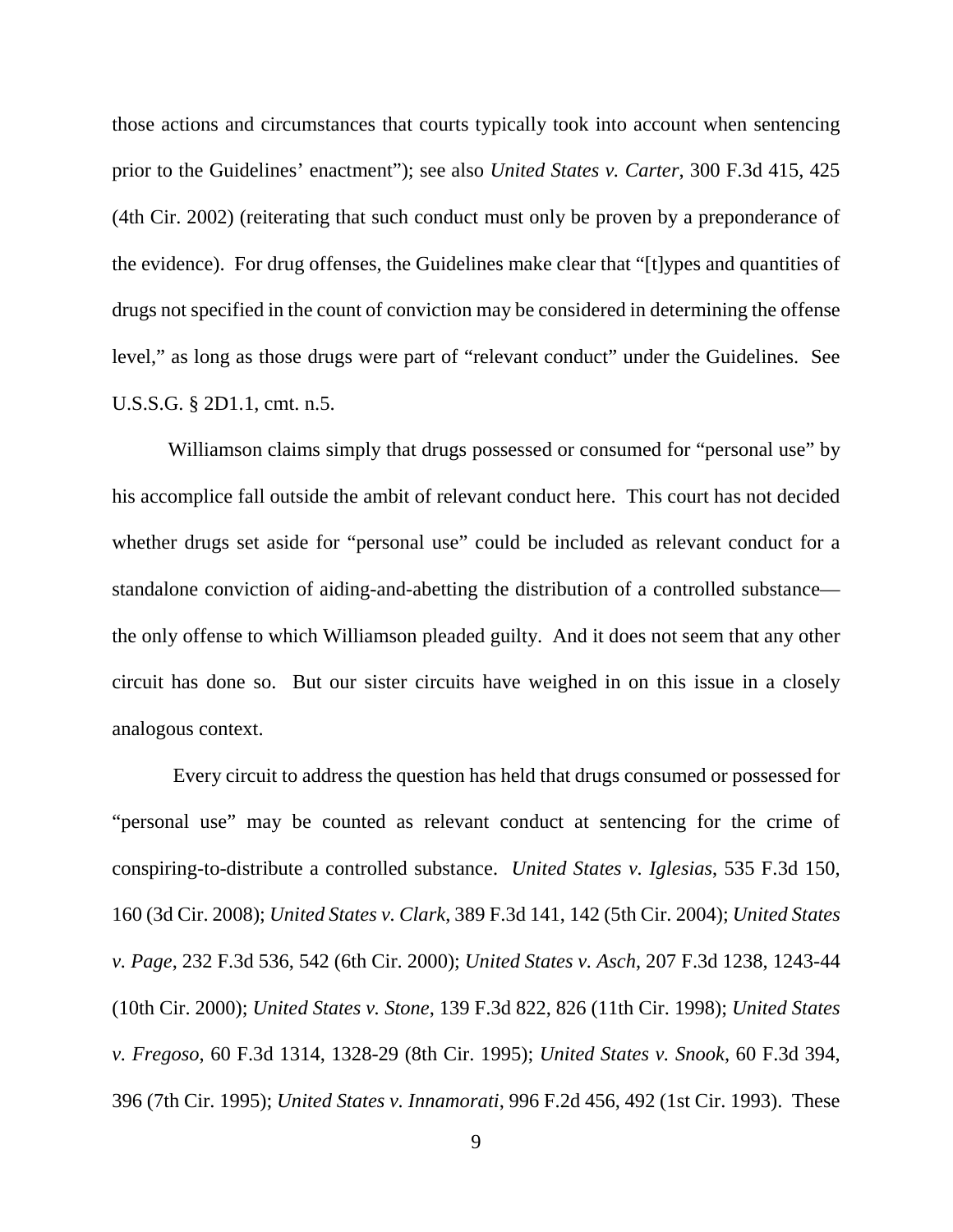those actions and circumstances that courts typically took into account when sentencing prior to the Guidelines' enactment"); see also *United States v. Carter*, 300 F.3d 415, 425 (4th Cir. 2002) (reiterating that such conduct must only be proven by a preponderance of the evidence). For drug offenses, the Guidelines make clear that "[t]ypes and quantities of drugs not specified in the count of conviction may be considered in determining the offense level," as long as those drugs were part of "relevant conduct" under the Guidelines. See U.S.S.G. § 2D1.1, cmt. n.5.

Williamson claims simply that drugs possessed or consumed for "personal use" by his accomplice fall outside the ambit of relevant conduct here. This court has not decided whether drugs set aside for "personal use" could be included as relevant conduct for a standalone conviction of aiding-and-abetting the distribution of a controlled substance the only offense to which Williamson pleaded guilty. And it does not seem that any other circuit has done so. But our sister circuits have weighed in on this issue in a closely analogous context.

Every circuit to address the question has held that drugs consumed or possessed for "personal use" may be counted as relevant conduct at sentencing for the crime of conspiring-to-distribute a controlled substance. *United States v. Iglesias*, 535 F.3d 150, 160 (3d Cir. 2008); *United States v. Clark*, 389 F.3d 141, 142 (5th Cir. 2004); *United States v. Page*, 232 F.3d 536, 542 (6th Cir. 2000); *United States v. Asch*, 207 F.3d 1238, 1243-44 (10th Cir. 2000); *United States v. Stone*, 139 F.3d 822, 826 (11th Cir. 1998); *United States v. Fregoso*, 60 F.3d 1314, 1328-29 (8th Cir. 1995); *United States v. Snook*, 60 F.3d 394, 396 (7th Cir. 1995); *United States v. Innamorati*, 996 F.2d 456, 492 (1st Cir. 1993). These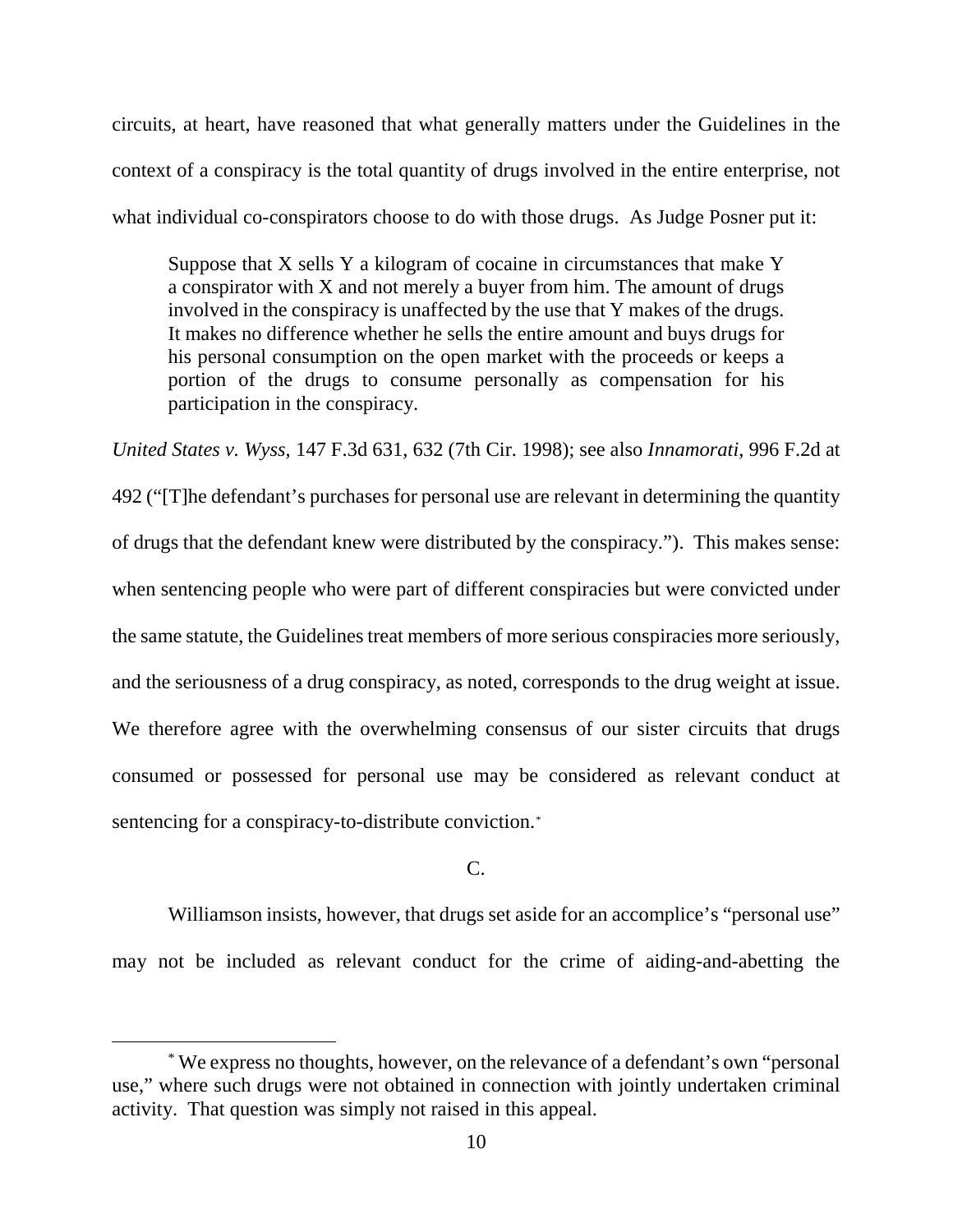circuits, at heart, have reasoned that what generally matters under the Guidelines in the context of a conspiracy is the total quantity of drugs involved in the entire enterprise, not what individual co-conspirators choose to do with those drugs. As Judge Posner put it:

Suppose that X sells Y a kilogram of cocaine in circumstances that make Y a conspirator with X and not merely a buyer from him. The amount of drugs involved in the conspiracy is unaffected by the use that Y makes of the drugs. It makes no difference whether he sells the entire amount and buys drugs for his personal consumption on the open market with the proceeds or keeps a portion of the drugs to consume personally as compensation for his participation in the conspiracy.

*United States v. Wyss*, 147 F.3d 631, 632 (7th Cir. 1998); see also *Innamorati*, 996 F.2d at 492 ("[T]he defendant's purchases for personal use are relevant in determining the quantity of drugs that the defendant knew were distributed by the conspiracy."). This makes sense: when sentencing people who were part of different conspiracies but were convicted under the same statute, the Guidelines treat members of more serious conspiracies more seriously, and the seriousness of a drug conspiracy, as noted, corresponds to the drug weight at issue. We therefore agree with the overwhelming consensus of our sister circuits that drugs consumed or possessed for personal use may be considered as relevant conduct at sentencing for a conspiracy-to-distribute conviction.[\\*](#page-9-0)

## C.

Williamson insists, however, that drugs set aside for an accomplice's "personal use" may not be included as relevant conduct for the crime of aiding-and-abetting the

<span id="page-9-0"></span> <sup>\*</sup> We express no thoughts, however, on the relevance of a defendant's own "personal use," where such drugs were not obtained in connection with jointly undertaken criminal activity. That question was simply not raised in this appeal.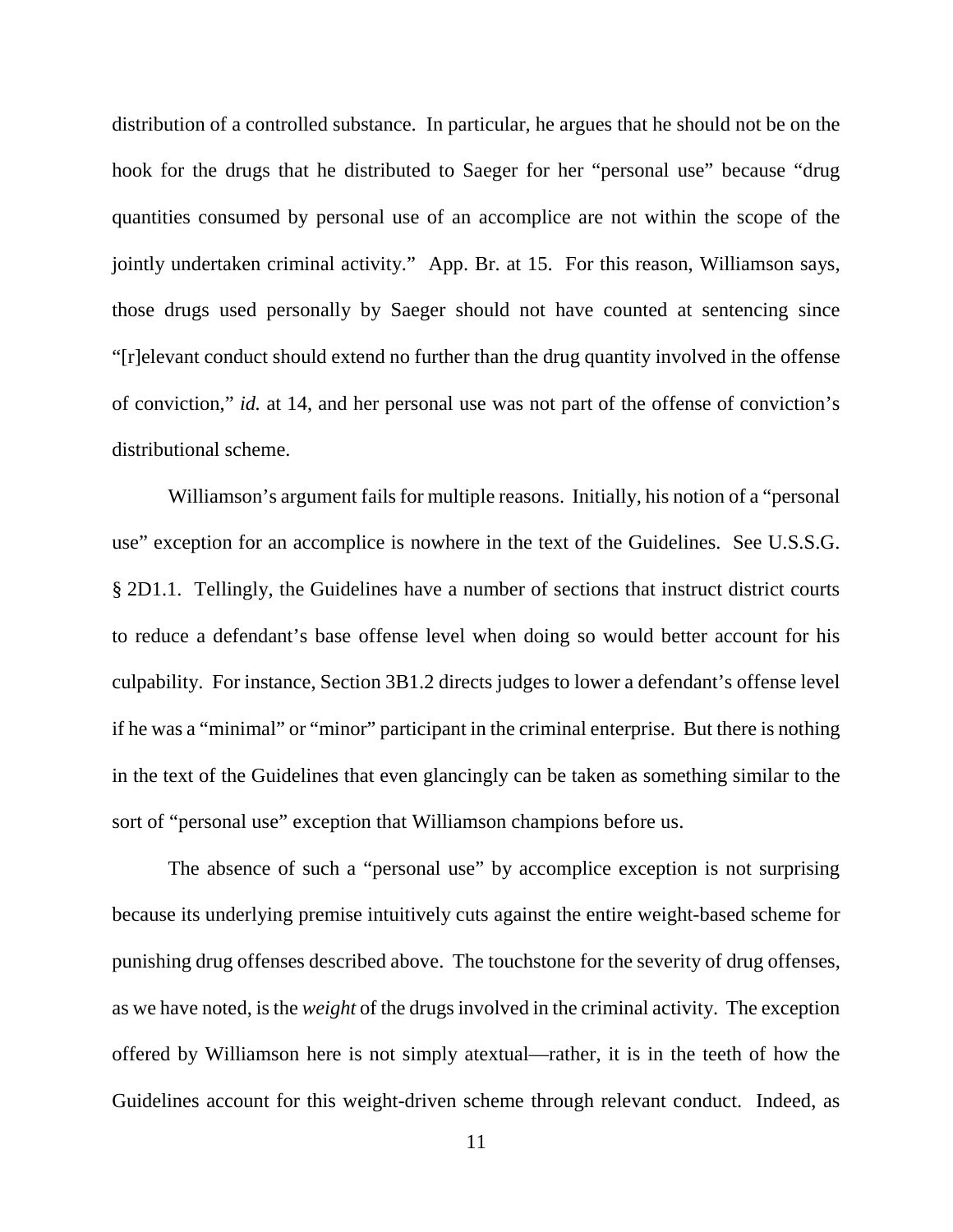distribution of a controlled substance. In particular, he argues that he should not be on the hook for the drugs that he distributed to Saeger for her "personal use" because "drug quantities consumed by personal use of an accomplice are not within the scope of the jointly undertaken criminal activity." App. Br. at 15. For this reason, Williamson says, those drugs used personally by Saeger should not have counted at sentencing since "[r]elevant conduct should extend no further than the drug quantity involved in the offense of conviction," *id.* at 14, and her personal use was not part of the offense of conviction's distributional scheme.

Williamson's argument fails for multiple reasons. Initially, his notion of a "personal use" exception for an accomplice is nowhere in the text of the Guidelines. See U.S.S.G. § 2D1.1. Tellingly, the Guidelines have a number of sections that instruct district courts to reduce a defendant's base offense level when doing so would better account for his culpability. For instance, Section 3B1.2 directs judges to lower a defendant's offense level if he was a "minimal" or "minor" participant in the criminal enterprise. But there is nothing in the text of the Guidelines that even glancingly can be taken as something similar to the sort of "personal use" exception that Williamson champions before us.

The absence of such a "personal use" by accomplice exception is not surprising because its underlying premise intuitively cuts against the entire weight-based scheme for punishing drug offenses described above. The touchstone for the severity of drug offenses, as we have noted, is the *weight* of the drugs involved in the criminal activity. The exception offered by Williamson here is not simply atextual—rather, it is in the teeth of how the Guidelines account for this weight-driven scheme through relevant conduct. Indeed, as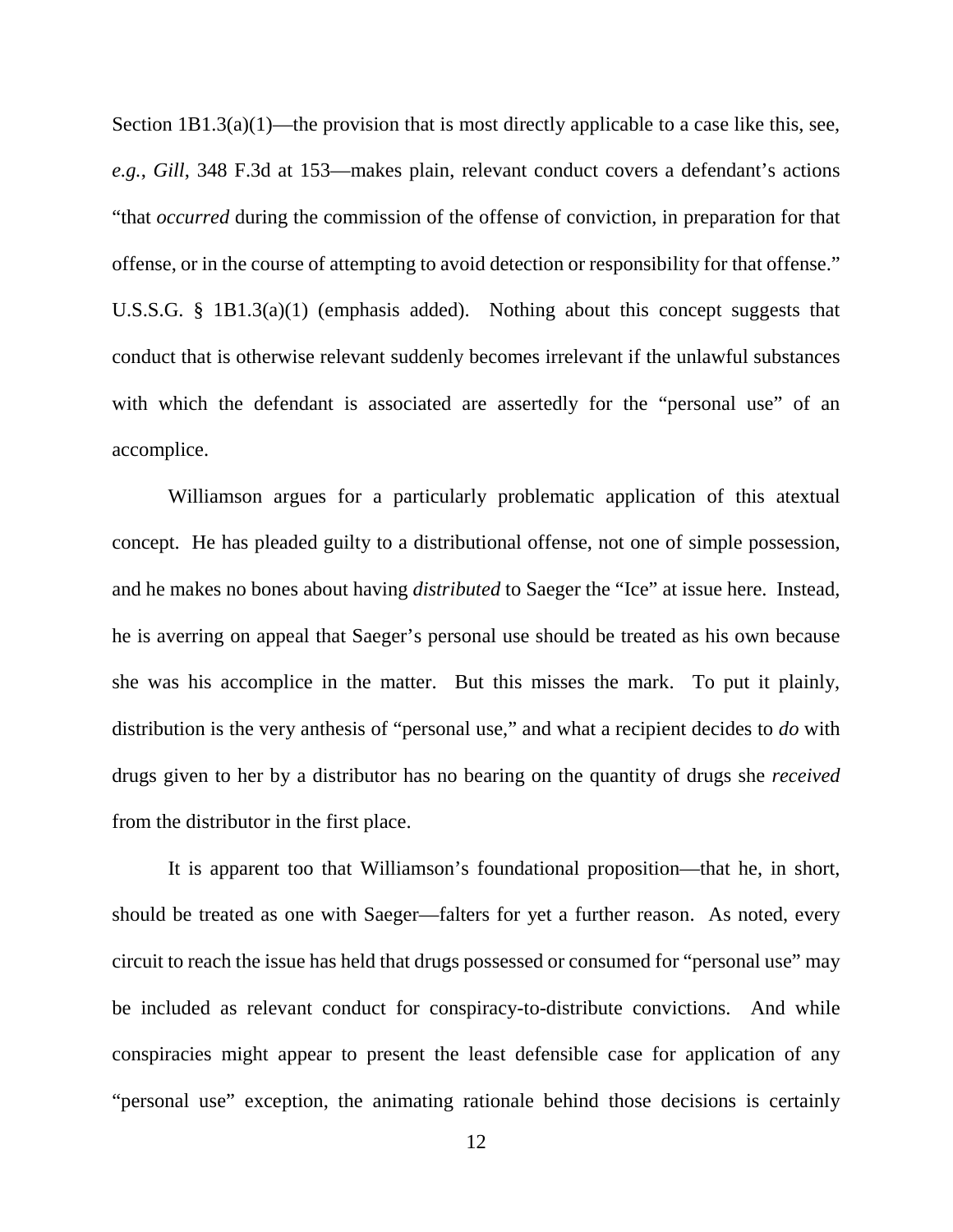Section  $1B1.3(a)(1)$ —the provision that is most directly applicable to a case like this, see, *e.g.*, *Gill*, 348 F.3d at 153—makes plain, relevant conduct covers a defendant's actions "that *occurred* during the commission of the offense of conviction, in preparation for that offense, or in the course of attempting to avoid detection or responsibility for that offense." U.S.S.G. § 1B1.3(a)(1) (emphasis added). Nothing about this concept suggests that conduct that is otherwise relevant suddenly becomes irrelevant if the unlawful substances with which the defendant is associated are assertedly for the "personal use" of an accomplice.

Williamson argues for a particularly problematic application of this atextual concept. He has pleaded guilty to a distributional offense, not one of simple possession, and he makes no bones about having *distributed* to Saeger the "Ice" at issue here. Instead, he is averring on appeal that Saeger's personal use should be treated as his own because she was his accomplice in the matter. But this misses the mark. To put it plainly, distribution is the very anthesis of "personal use," and what a recipient decides to *do* with drugs given to her by a distributor has no bearing on the quantity of drugs she *received* from the distributor in the first place.

It is apparent too that Williamson's foundational proposition—that he, in short, should be treated as one with Saeger—falters for yet a further reason. As noted, every circuit to reach the issue has held that drugs possessed or consumed for "personal use" may be included as relevant conduct for conspiracy-to-distribute convictions. And while conspiracies might appear to present the least defensible case for application of any "personal use" exception, the animating rationale behind those decisions is certainly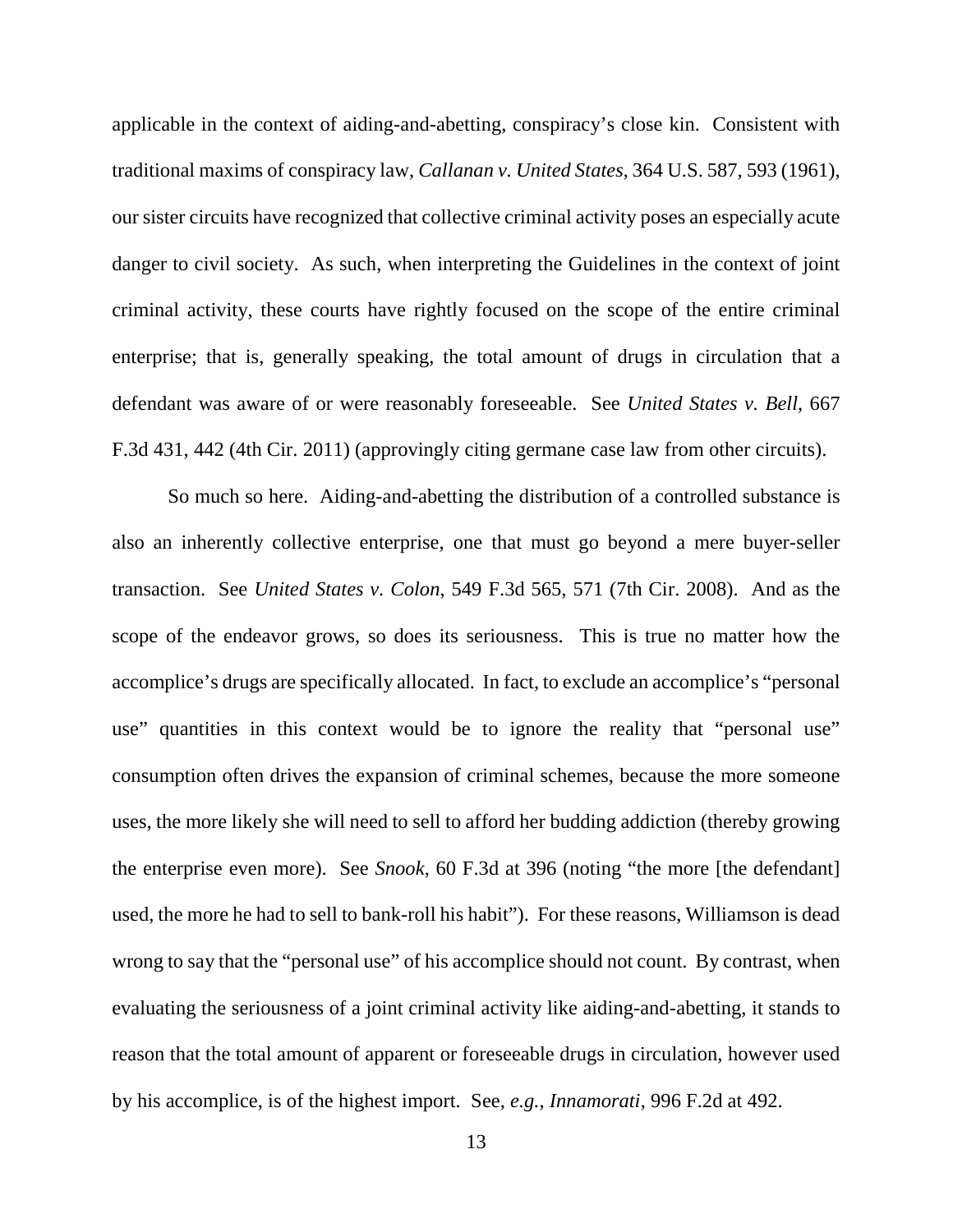applicable in the context of aiding-and-abetting, conspiracy's close kin. Consistent with traditional maxims of conspiracy law, *Callanan v. United States*, 364 U.S. 587, 593 (1961), our sister circuits have recognized that collective criminal activity poses an especially acute danger to civil society. As such, when interpreting the Guidelines in the context of joint criminal activity, these courts have rightly focused on the scope of the entire criminal enterprise; that is, generally speaking, the total amount of drugs in circulation that a defendant was aware of or were reasonably foreseeable. See *United States v. Bell*, 667 F.3d 431, 442 (4th Cir. 2011) (approvingly citing germane case law from other circuits).

So much so here. Aiding-and-abetting the distribution of a controlled substance is also an inherently collective enterprise, one that must go beyond a mere buyer-seller transaction. See *United States v. Colon*, 549 F.3d 565, 571 (7th Cir. 2008). And as the scope of the endeavor grows, so does its seriousness. This is true no matter how the accomplice's drugs are specifically allocated. In fact, to exclude an accomplice's "personal use" quantities in this context would be to ignore the reality that "personal use" consumption often drives the expansion of criminal schemes, because the more someone uses, the more likely she will need to sell to afford her budding addiction (thereby growing the enterprise even more). See *Snook*, 60 F.3d at 396 (noting "the more [the defendant] used, the more he had to sell to bank-roll his habit"). For these reasons, Williamson is dead wrong to say that the "personal use" of his accomplice should not count. By contrast, when evaluating the seriousness of a joint criminal activity like aiding-and-abetting, it stands to reason that the total amount of apparent or foreseeable drugs in circulation, however used by his accomplice, is of the highest import. See, *e.g.*, *Innamorati*, 996 F.2d at 492.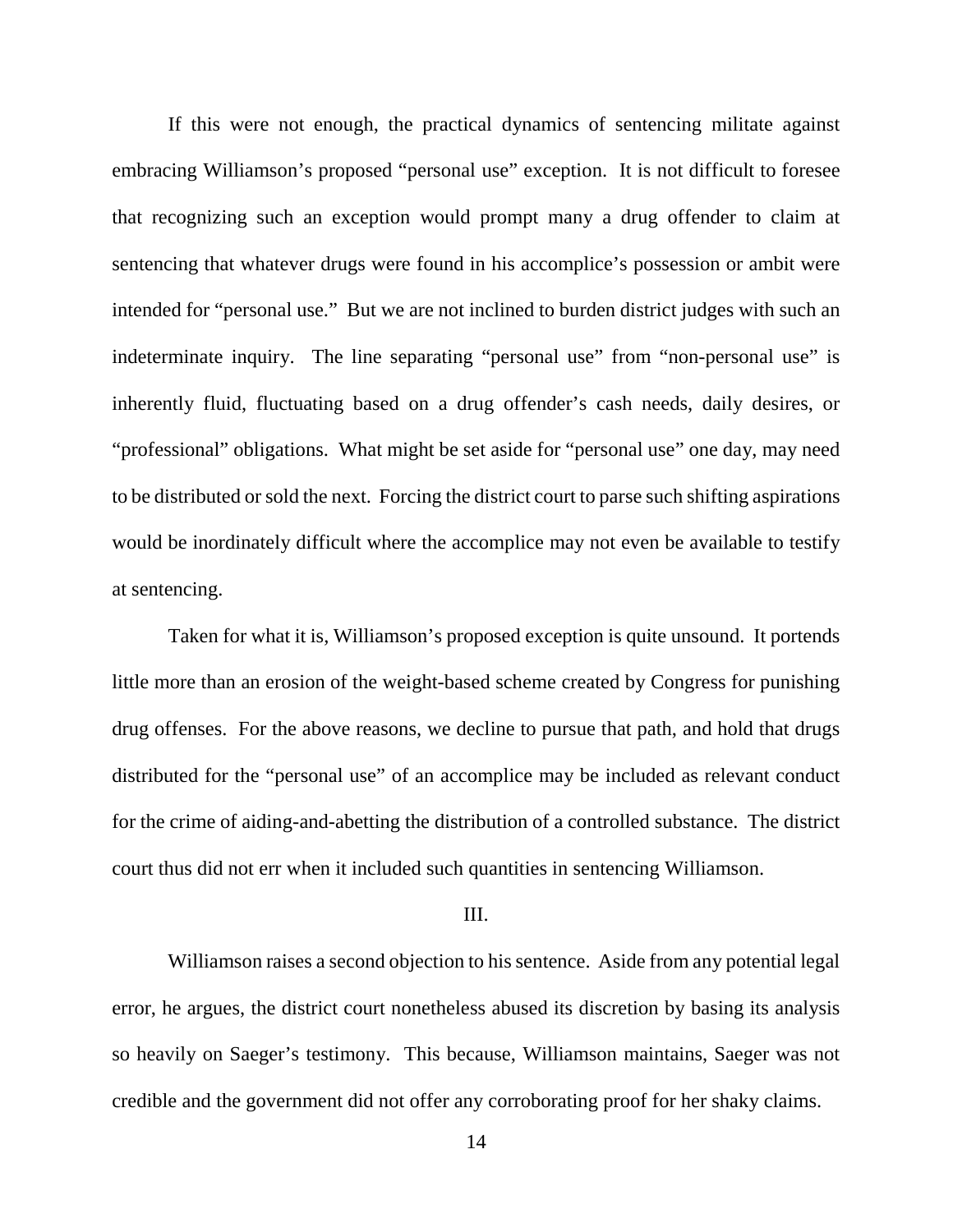If this were not enough, the practical dynamics of sentencing militate against embracing Williamson's proposed "personal use" exception. It is not difficult to foresee that recognizing such an exception would prompt many a drug offender to claim at sentencing that whatever drugs were found in his accomplice's possession or ambit were intended for "personal use." But we are not inclined to burden district judges with such an indeterminate inquiry. The line separating "personal use" from "non-personal use" is inherently fluid, fluctuating based on a drug offender's cash needs, daily desires, or "professional" obligations. What might be set aside for "personal use" one day, may need to be distributed or sold the next. Forcing the district court to parse such shifting aspirations would be inordinately difficult where the accomplice may not even be available to testify at sentencing.

Taken for what it is, Williamson's proposed exception is quite unsound. It portends little more than an erosion of the weight-based scheme created by Congress for punishing drug offenses. For the above reasons, we decline to pursue that path, and hold that drugs distributed for the "personal use" of an accomplice may be included as relevant conduct for the crime of aiding-and-abetting the distribution of a controlled substance. The district court thus did not err when it included such quantities in sentencing Williamson.

#### III.

Williamson raises a second objection to his sentence. Aside from any potential legal error, he argues, the district court nonetheless abused its discretion by basing its analysis so heavily on Saeger's testimony. This because, Williamson maintains, Saeger was not credible and the government did not offer any corroborating proof for her shaky claims.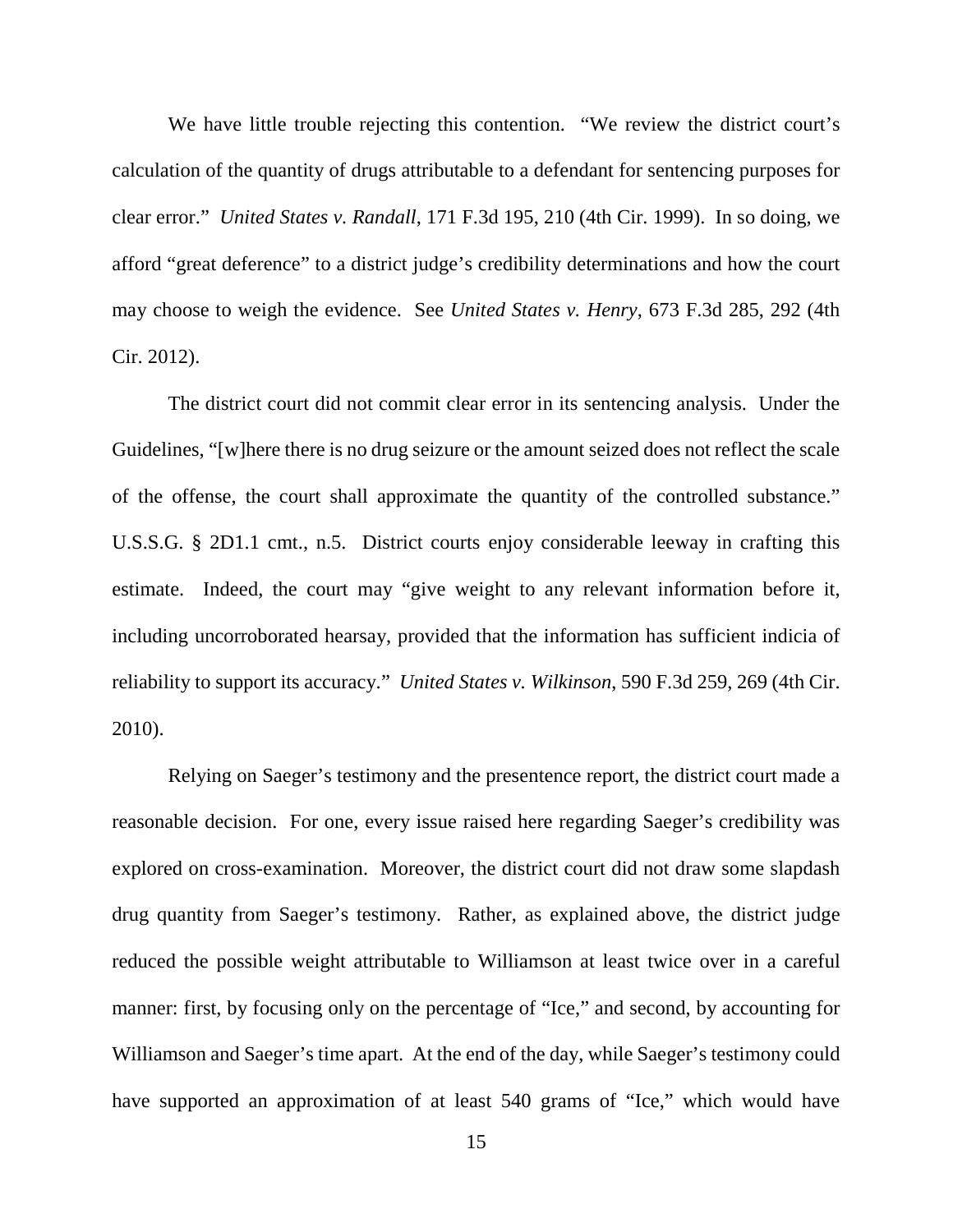We have little trouble rejecting this contention. "We review the district court's calculation of the quantity of drugs attributable to a defendant for sentencing purposes for clear error." *United States v. Randall*, 171 F.3d 195, 210 (4th Cir. 1999). In so doing, we afford "great deference" to a district judge's credibility determinations and how the court may choose to weigh the evidence. See *United States v. Henry*, 673 F.3d 285, 292 (4th Cir. 2012).

The district court did not commit clear error in its sentencing analysis. Under the Guidelines, "[w]here there is no drug seizure or the amount seized does not reflect the scale of the offense, the court shall approximate the quantity of the controlled substance." U.S.S.G. § 2D1.1 cmt., n.5. District courts enjoy considerable leeway in crafting this estimate. Indeed, the court may "give weight to any relevant information before it, including uncorroborated hearsay, provided that the information has sufficient indicia of reliability to support its accuracy." *United States v. Wilkinson*, 590 F.3d 259, 269 (4th Cir. 2010).

Relying on Saeger's testimony and the presentence report, the district court made a reasonable decision. For one, every issue raised here regarding Saeger's credibility was explored on cross-examination. Moreover, the district court did not draw some slapdash drug quantity from Saeger's testimony. Rather, as explained above, the district judge reduced the possible weight attributable to Williamson at least twice over in a careful manner: first, by focusing only on the percentage of "Ice," and second, by accounting for Williamson and Saeger's time apart. At the end of the day, while Saeger's testimony could have supported an approximation of at least 540 grams of "Ice," which would have